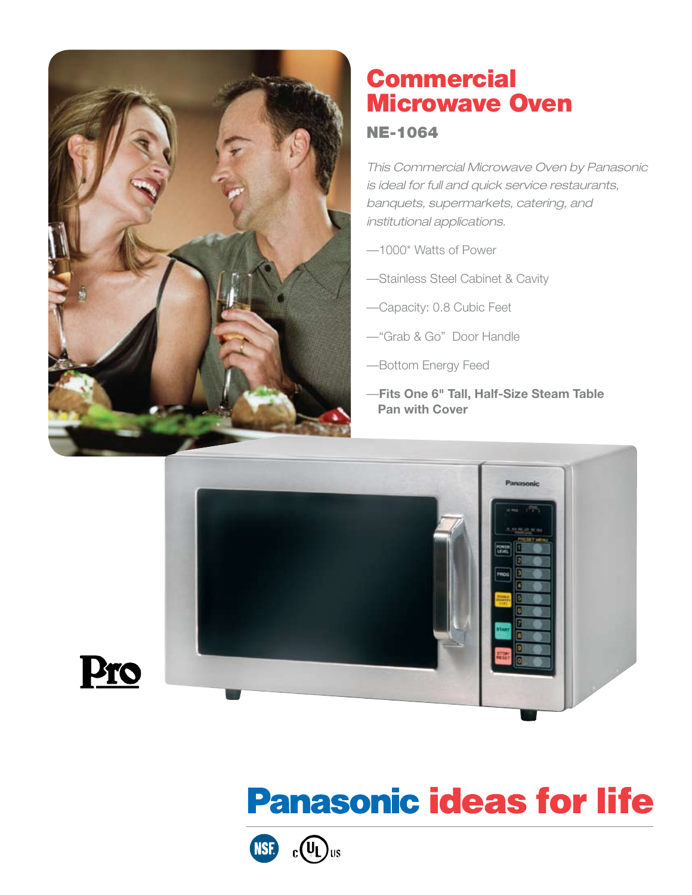

Pro

# **Commercial** Microwave Oven

### NE-1064

*This Commercial Microwave Oven by Panasonic is ideal for full and quick service restaurants, banquets, supermarkets, catering, and institutional applications.* 

- —1000\* Watts of Power
- —Stainless Steel Cabinet & Cavity
- —Capacity: 0.8 Cubic Feet
- —"Grab & Go" Door Handle
- —Bottom Energy Feed
- —**Fits One 6" Tall, Half-Size Steam Table Pan with Cover**